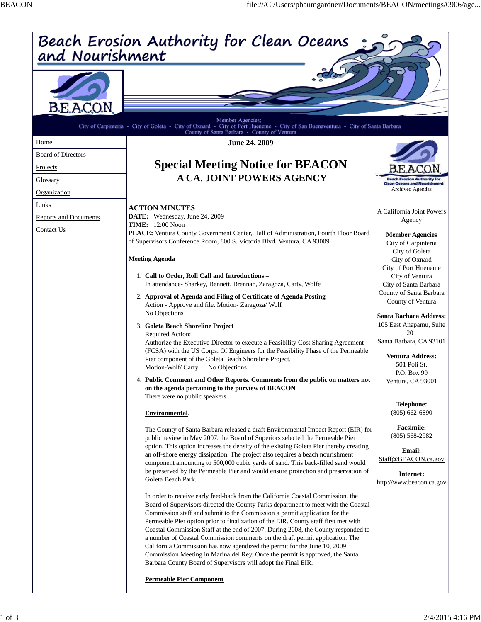| Beach Erosion Authority for Clean Oceans<br>and Nourishment |                                                                                                                                                                                                                                                          |                                                                 |
|-------------------------------------------------------------|----------------------------------------------------------------------------------------------------------------------------------------------------------------------------------------------------------------------------------------------------------|-----------------------------------------------------------------|
|                                                             |                                                                                                                                                                                                                                                          |                                                                 |
| B.E.A.C.O.N.                                                |                                                                                                                                                                                                                                                          |                                                                 |
|                                                             | Member Agencies;<br>City of Carpinteria - City of Goleta - City of Oxnard - City of Port Hueneme - City of San Buenaventura - City of Santa Barbara                                                                                                      |                                                                 |
| Home                                                        | County of Santa Barbara - County of Ventura<br>June 24, 2009                                                                                                                                                                                             |                                                                 |
| <b>Board of Directors</b>                                   |                                                                                                                                                                                                                                                          |                                                                 |
| Projects                                                    | <b>Special Meeting Notice for BEACON</b>                                                                                                                                                                                                                 |                                                                 |
| Glossary                                                    | <b>A CA. JOINT POWERS AGENCY</b>                                                                                                                                                                                                                         |                                                                 |
| Organization                                                |                                                                                                                                                                                                                                                          | <b>Clean Oceans and Nourishment</b><br><b>Archived Agendas</b>  |
| Links                                                       |                                                                                                                                                                                                                                                          |                                                                 |
| <b>Reports and Documents</b>                                | <b>ACTION MINUTES</b><br>DATE: Wednesday, June 24, 2009                                                                                                                                                                                                  | A California Joint Powers                                       |
| Contact Us                                                  | <b>TIME:</b> 12:00 Noon                                                                                                                                                                                                                                  | Agency                                                          |
|                                                             | PLACE: Ventura County Government Center, Hall of Administration, Fourth Floor Board<br>of Supervisors Conference Room, 800 S. Victoria Blvd. Ventura, CA 93009                                                                                           | <b>Member Agencies</b><br>City of Carpinteria<br>City of Goleta |
|                                                             | <b>Meeting Agenda</b>                                                                                                                                                                                                                                    | City of Oxnard                                                  |
|                                                             | 1. Call to Order, Roll Call and Introductions -                                                                                                                                                                                                          | City of Port Hueneme                                            |
|                                                             | In attendance- Sharkey, Bennett, Brennan, Zaragoza, Carty, Wolfe                                                                                                                                                                                         | City of Ventura<br>City of Santa Barbara                        |
|                                                             | 2. Approval of Agenda and Filing of Certificate of Agenda Posting                                                                                                                                                                                        | County of Santa Barbara                                         |
|                                                             | Action - Approve and file. Motion- Zaragoza/ Wolf<br>No Objections                                                                                                                                                                                       | County of Ventura<br>Santa Barbara Address:                     |
|                                                             | 3. Goleta Beach Shoreline Project                                                                                                                                                                                                                        | 105 East Anapamu, Suite                                         |
|                                                             | Required Action:<br>Authorize the Executive Director to execute a Feasibility Cost Sharing Agreement                                                                                                                                                     | 201<br>Santa Barbara, CA 93101                                  |
|                                                             | (FCSA) with the US Corps. Of Engineers for the Feasibility Phase of the Permeable                                                                                                                                                                        |                                                                 |
|                                                             | Pier component of the Goleta Beach Shoreline Project.                                                                                                                                                                                                    | <b>Ventura Address:</b><br>501 Poli St.                         |
|                                                             | Motion-Wolf/Carty<br>No Objections                                                                                                                                                                                                                       | P.O. Box 99                                                     |
|                                                             | 4. Public Comment and Other Reports. Comments from the public on matters not<br>on the agenda pertaining to the purview of BEACON<br>There were no public speakers                                                                                       | Ventura, CA 93001                                               |
|                                                             |                                                                                                                                                                                                                                                          | <b>Telephone:</b>                                               |
|                                                             | Environmental.                                                                                                                                                                                                                                           | $(805)$ 662-6890                                                |
|                                                             | The County of Santa Barbara released a draft Environmental Impact Report (EIR) for<br>public review in May 2007. the Board of Superiors selected the Permeable Pier                                                                                      | <b>Facsimile:</b><br>$(805)$ 568-2982                           |
|                                                             | option. This option increases the density of the existing Goleta Pier thereby creating<br>an off-shore energy dissipation. The project also requires a beach nourishment                                                                                 | <b>Email:</b>                                                   |
|                                                             | component amounting to 500,000 cubic yards of sand. This back-filled sand would                                                                                                                                                                          | Staff@BEACON.ca.gov                                             |
|                                                             | be preserved by the Permeable Pier and would ensure protection and preservation of<br>Goleta Beach Park.                                                                                                                                                 | Internet:                                                       |
|                                                             |                                                                                                                                                                                                                                                          | http://www.beacon.ca.gov                                        |
|                                                             | In order to receive early feed-back from the California Coastal Commission, the<br>Board of Supervisors directed the County Parks department to meet with the Coastal<br>Commission staff and submit to the Commission a permit application for the      |                                                                 |
|                                                             | Permeable Pier option prior to finalization of the EIR. County staff first met with<br>Coastal Commission Staff at the end of 2007. During 2008, the County responded to<br>a number of Coastal Commission comments on the draft permit application. The |                                                                 |
|                                                             | California Commission has now agendized the permit for the June 10, 2009<br>Commission Meeting in Marina del Rey. Once the permit is approved, the Santa<br>Barbara County Board of Supervisors will adopt the Final EIR.                                |                                                                 |
|                                                             | <b>Permeable Pier Component</b>                                                                                                                                                                                                                          |                                                                 |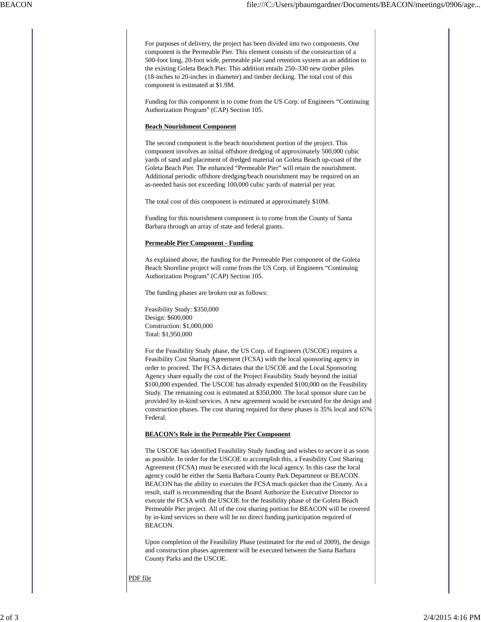For purposes of delivery, the project has been divided into two components. One component is the Permeable Pier. This element consists of the construction of a 500-foot long, 20-foot wide, permeable pile sand retention system as an addition to the existing Goleta Beach Pier. This addition entails 250–330 new timber piles (18-inches to 20-inches in diameter) and timber decking. The total cost of this component is estimated at \$1.9M.

Funding for this component is to come from the US Corp. of Engineers "Continuing Authorization Program" (CAP) Section 105.

## **Beach Nourishment Component**

The second component is the beach nourishment portion of the project. This component involves an initial offshore dredging of approximately 500,000 cubic yards of sand and placement of dredged material on Goleta Beach up-coast of the Goleta Beach Pier. The enhanced "Permeable Pier" will retain the nourishment. Additional periodic offshore dredging/beach nourishment may be required on an as-needed basis not exceeding 100,000 cubic yards of material per year.

The total cost of this component is estimated at approximately \$10M.

Funding for this nourishment component is to come from the County of Santa Barbara through an array of state and federal grants.

## **Permeable Pier Component - Funding**

As explained above, the funding for the Permeable Pier component of the Goleta Beach Shoreline project will come from the US Corp. of Engineers "Continuing Authorization Program" (CAP) Section 105.

The funding phases are broken out as follows:

Feasibility Study: \$350,000 Design: \$600,000 Construction: \$1,000,000 Total: \$1,950,000

For the Feasibility Study phase, the US Corp. of Engineers (USCOE) requires a Feasibility Cost Sharing Agreement (FCSA) with the local sponsoring agency in order to proceed. The FCSA dictates that the USCOE and the Local Sponsoring Agency share equally the cost of the Project Feasibility Study beyond the initial \$100,000 expended. The USCOE has already expended \$100,000 on the Feasibility Study. The remaining cost is estimated at \$350,000. The local sponsor share can be provided by in-kind services. A new agreement would be executed for the design and construction phases. The cost sharing required for these phases is 35% local and 65% Federal.

## **BEACON's Role in the Permeable Pier Component**

The USCOE has identified Feasibility Study funding and wishes to secure it as soon as possible. In order for the USCOE to accomplish this, a Feasibility Cost Sharing Agreement (FCSA) must be executed with the local agency. In this case the local agency could be either the Santa Barbara County Park Department or BEACON. BEACON has the ability to executes the FCSA much quicker than the County. As a result, staff is recommending that the Board Authorize the Executive Director to execute the FCSA with the USCOE for the feasibility phase of the Goleta Beach Permeable Pier project. All of the cost sharing portion for BEACON will be covered by in-kind services so there will be no direct funding participation required of BEACON.

Upon completion of the Feasibility Phase (estimated for the end of 2009), the design and construction phases agreement will be executed between the Santa Barbara County Parks and the USCOE.

PDF file